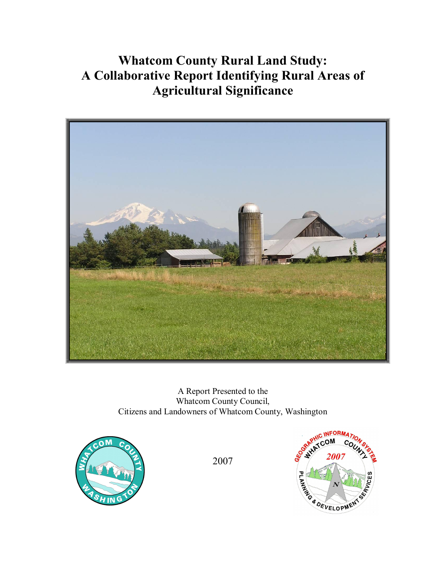# **Whatcom County Rural Land Study: A Collaborative Report Identifying Rural Areas of Agricultural Significance**



A Report Presented to the Whatcom County Council, Citizens and Landowners of Whatcom County, Washington



2007

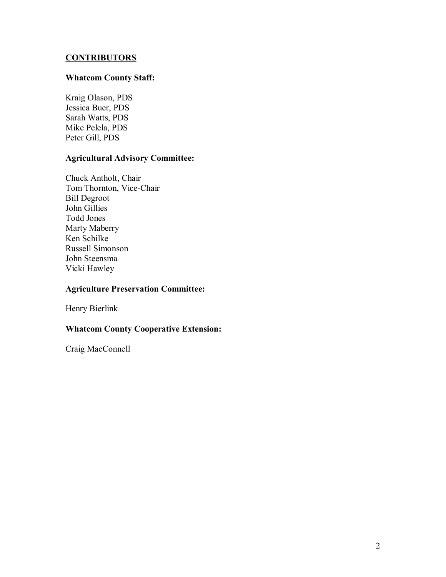## **CONTRIBUTORS**

#### **Whatcom County Staff:**

Kraig Olason, PDS Jessica Buer, PDS Sarah Watts, PDS Mike Pelela, PDS Peter Gill, PDS

# **Agricultural Advisory Committee:**

Chuck Antholt, Chair Tom Thornton, Vice-Chair Bill Degroot John Gillies Todd Jones Marty Maberry Ken Schilke Russell Simonson John Steensma Vicki Hawley

#### **Agriculture Preservation Committee:**

Henry Bierlink

## **Whatcom County Cooperative Extension:**

Craig MacConnell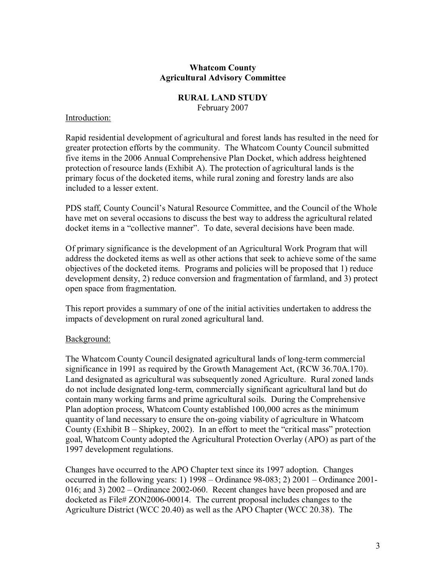#### **Whatcom County Agricultural Advisory Committee**

#### **RURAL LAND STUDY**

February 2007

#### Introduction:

Rapid residential development of agricultural and forest lands has resulted in the need for greater protection efforts by the community. The Whatcom County Council submitted five items in the 2006 Annual Comprehensive Plan Docket, which address heightened protection of resource lands (Exhibit A). The protection of agricultural lands is the primary focus of the docketed items, while rural zoning and forestry lands are also included to a lesser extent.

PDS staff, County Council's Natural Resource Committee, and the Council of the Whole have met on several occasions to discuss the best way to address the agricultural related docket items in a "collective manner". To date, several decisions have been made.

Of primary significance is the development of an Agricultural Work Program that will address the docketed items as well as other actions that seek to achieve some of the same objectives of the docketed items. Programs and policies will be proposed that 1) reduce development density, 2) reduce conversion and fragmentation of farmland, and 3) protect open space from fragmentation.

This report provides a summary of one of the initial activities undertaken to address the impacts of development on rural zoned agricultural land.

## Background:

The Whatcom County Council designated agricultural lands of long-term commercial significance in 1991 as required by the Growth Management Act, (RCW 36.70A.170). Land designated as agricultural was subsequently zoned Agriculture. Rural zoned lands do not include designated long-term, commercially significant agricultural land but do contain many working farms and prime agricultural soils. During the Comprehensive Plan adoption process, Whatcom County established 100,000 acres as the minimum quantity of land necessary to ensure the on-going viability of agriculture in Whatcom County (Exhibit  $B - Shipkey$ , 2002). In an effort to meet the "critical mass" protection goal, Whatcom County adopted the Agricultural Protection Overlay (APO) as part of the 1997 development regulations.

Changes have occurred to the APO Chapter text since its 1997 adoption. Changes occurred in the following years: 1)  $1998 - Ordinance 98-083$ ; 2)  $2001 - Ordinance 2001-$ 016; and 3)  $2002 - Ordinance 2002-060$ . Recent changes have been proposed and are docketed as File# ZON2006-00014. The current proposal includes changes to the Agriculture District (WCC 20.40) as well as the APO Chapter (WCC 20.38). The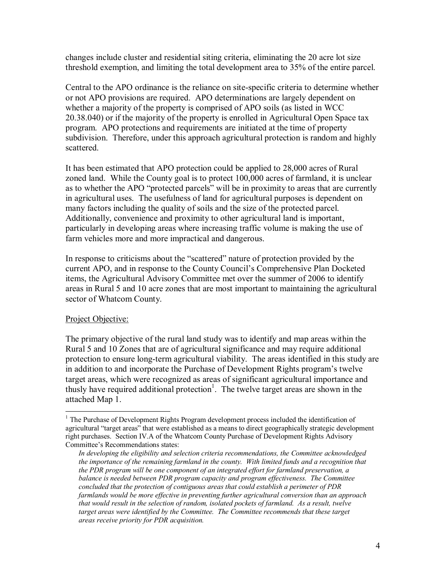changes include cluster and residential siting criteria, eliminating the 20 acre lot size threshold exemption, and limiting the total development area to 35% of the entire parcel.

Central to the APO ordinance is the reliance on site-specific criteria to determine whether or not APO provisions are required. APO determinations are largely dependent on whether a majority of the property is comprised of APO soils (as listed in WCC 20.38.040) or if the majority of the property is enrolled in Agricultural Open Space tax program. APO protections and requirements are initiated at the time of property subdivision. Therefore, under this approach agricultural protection is random and highly scattered.

It has been estimated that APO protection could be applied to 28,000 acres of Rural zoned land. While the County goal is to protect 100,000 acres of farmland, it is unclear as to whether the APO "protected parcels" will be in proximity to areas that are currently in agricultural uses. The usefulness of land for agricultural purposes is dependent on many factors including the quality of soils and the size of the protected parcel. Additionally, convenience and proximity to other agricultural land is important, particularly in developing areas where increasing traffic volume is making the use of farm vehicles more and more impractical and dangerous.

In response to criticisms about the "scattered" nature of protection provided by the current APO, and in response to the County Council's Comprehensive Plan Docketed items, the Agricultural Advisory Committee met over the summer of 2006 to identify areas in Rural 5 and 10 acre zones that are most important to maintaining the agricultural sector of Whatcom County.

## Project Objective:

The primary objective of the rural land study was to identify and map areas within the Rural 5 and 10 Zones that are of agricultural significance and may require additional protection to ensure long-term agricultural viability. The areas identified in this study are in addition to and incorporate the Purchase of Development Rights program's twelve target areas, which were recognized as areas of significant agricultural importance and thusly have required additional protection<sup>1</sup>. The twelve target areas are shown in the attached Map 1.

<sup>&</sup>lt;sup>1</sup> The Purchase of Development Rights Program development process included the identification of agricultural "target areas" that were established as a means to direct geographically strategic development right purchases. Section IV.A of the Whatcom County Purchase of Development Rights Advisory Committee's Recommendations states:

*In developing the eligibility and selection criteria recommendations, the Committee acknowledged the importance of the remaining farmland in the county. With limited funds and a recognition that the PDR program will be one component of an integrated ef ort for farmland preservation, a balance is needed between PDR program capacity and program ef ectiveness. The Committee concluded that the protection of contiguous areas that could establish a perimeter of PDR farmlands would be more ef ective in preventing further agricultural conversion than an approach that would result in the selection of random, isolated pockets of farmland. As a result, twelve target areas were identified by the Committee. The Committee recommends that these target areas receive priority for PDR acquisition.*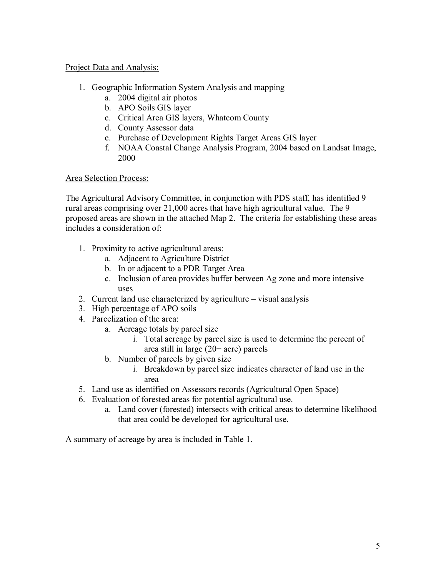## Project Data and Analysis:

- 1. Geographic Information System Analysis and mapping
	- a. 2004 digital air photos
	- b. APO Soils GIS layer
	- c. Critical Area GIS layers, Whatcom County
	- d. County Assessor data
	- e. Purchase of Development Rights Target Areas GIS layer
	- f. NOAA Coastal Change Analysis Program, 2004 based on Landsat Image, 2000

## Area Selection Process:

The Agricultural Advisory Committee, in conjunction with PDS staff, has identified 9 rural areas comprising over 21,000 acres that have high agricultural value. The 9 proposed areas are shown in the attached Map 2. The criteria for establishing these areas includes a consideration of:

- 1. Proximity to active agricultural areas:
	- a. Adjacent to Agriculture District
	- b. In or adjacent to a PDR Target Area
	- c. Inclusion of area provides buffer between Ag zone and more intensive uses
- 2. Current land use characterized by agriculture visual analysis
- 3. High percentage of APO soils
- 4. Parcelization of the area:
	- a. Acreage totals by parcel size
		- i. Total acreage by parcel size is used to determine the percent of area still in large (20+ acre) parcels
	- b. Number of parcels by given size
		- i. Breakdown by parcel size indicates character of land use in the area
- 5. Land use as identified on Assessors records (Agricultural Open Space)
- 6. Evaluation of forested areas for potential agricultural use.
	- a. Land cover (forested) intersects with critical areas to determine likelihood that area could be developed for agricultural use.

A summary of acreage by area is included in Table 1.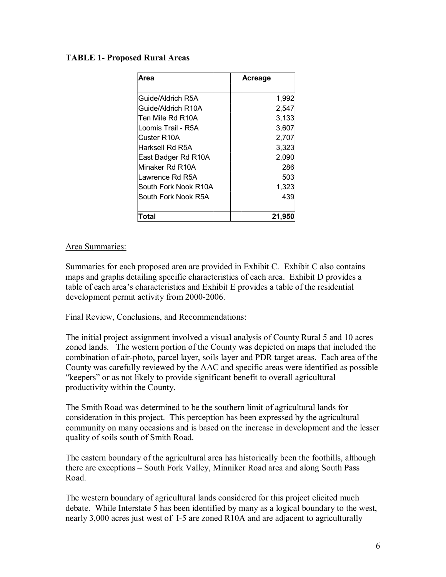#### **TABLE** 1- Proposed Rural Areas

| Area                 | Acreage |
|----------------------|---------|
| Guide/Aldrich R5A    | 1,992   |
| Guide/Aldrich R10A   | 2,547   |
| Ten Mile Rd R10A     | 3,133   |
| Loomis Trail - R5A   | 3,607   |
| Custer R10A          | 2,707   |
| Harksell Rd R5A      | 3,323   |
| East Badger Rd R10A  | 2,090   |
| Minaker Rd R10A      | 286     |
| Lawrence Rd R5A      | 503     |
| South Fork Nook R10A | 1,323   |
| South Fork Nook R5A  | 439     |
| Total                | 21,950  |

#### Area Summaries:

Summaries for each proposed area are provided in Exhibit C. Exhibit C also contains maps and graphs detailing specific characteristics of each area. Exhibit D provides a table of each area's characteristics and Exhibit E provides a table of the residential development permit activity from 2000-2006.

#### Final Review, Conclusions, and Recommendations:

The initial project assignment involved a visual analysis of County Rural 5 and 10 acres zoned lands. The western portion of the County was depicted on maps that included the combination of air-photo, parcel layer, soils layer and PDR target areas. Each area of the County was carefully reviewed by the AAC and specific areas were identified as possible "keepers" or as not likely to provide significant benefit to overall agricultural productivity within the County.

The Smith Road was determined to be the southern limit of agricultural lands for consideration in this project. This perception has been expressed by the agricultural community on many occasions and is based on the increase in development and the lesser quality of soils south of Smith Road.

The eastern boundary of the agricultural area has historically been the foothills, although there are exceptions – South Fork Valley, Minniker Road area and along South Pass Road.

The western boundary of agricultural lands considered for this project elicited much debate. While Interstate 5 has been identified by many as a logical boundary to the west, nearly 3,000 acres just west of I-5 are zoned R10A and are adjacent to agriculturally